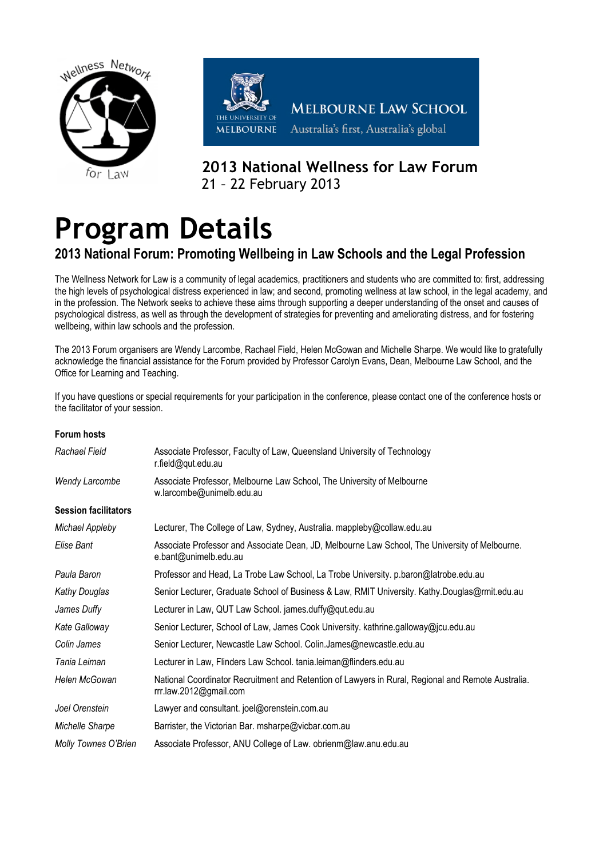



**MELBOURNE LAW SCHOOL** Australia's first, Australia's global

# **2013 National Wellness for Law Forum**  21 – 22 February 2013

# **Program Details**

## **2013 National Forum: Promoting Wellbeing in Law Schools and the Legal Profession**

The Wellness Network for Law is a community of legal academics, practitioners and students who are committed to: first, addressing the high levels of psychological distress experienced in law; and second, promoting wellness at law school, in the legal academy, and in the profession. The Network seeks to achieve these aims through supporting a deeper understanding of the onset and causes of psychological distress, as well as through the development of strategies for preventing and ameliorating distress, and for fostering wellbeing, within law schools and the profession.

The 2013 Forum organisers are Wendy Larcombe, Rachael Field, Helen McGowan and Michelle Sharpe. We would like to gratefully acknowledge the financial assistance for the Forum provided by Professor Carolyn Evans, Dean, Melbourne Law School, and the Office for Learning and Teaching.

If you have questions or special requirements for your participation in the conference, please contact one of the conference hosts or the facilitator of your session.

#### **Forum hosts**

| Rachael Field               | Associate Professor, Faculty of Law, Queensland University of Technology<br>r.field@qut.edu.au                               |
|-----------------------------|------------------------------------------------------------------------------------------------------------------------------|
| <b>Wendy Larcombe</b>       | Associate Professor, Melbourne Law School, The University of Melbourne<br>w.larcombe@unimelb.edu.au                          |
| <b>Session facilitators</b> |                                                                                                                              |
| Michael Appleby             | Lecturer, The College of Law, Sydney, Australia. mappleby@collaw.edu.au                                                      |
| Elise Bant                  | Associate Professor and Associate Dean, JD, Melbourne Law School, The University of Melbourne.<br>e.bant@unimelb.edu.au      |
| Paula Baron                 | Professor and Head, La Trobe Law School, La Trobe University. p.baron@latrobe.edu.au                                         |
| Kathy Douglas               | Senior Lecturer, Graduate School of Business & Law, RMIT University. Kathy.Douglas@rmit.edu.au                               |
| James Duffy                 | Lecturer in Law, QUT Law School. james.duffy@qut.edu.au                                                                      |
| Kate Galloway               | Senior Lecturer, School of Law, James Cook University. kathrine.galloway@jcu.edu.au                                          |
| Colin James                 | Senior Lecturer, Newcastle Law School. Colin.James@newcastle.edu.au                                                          |
| Tania Leiman                | Lecturer in Law, Flinders Law School. tania.leiman@flinders.edu.au                                                           |
| Helen McGowan               | National Coordinator Recruitment and Retention of Lawyers in Rural, Regional and Remote Australia.<br>rrr.law.2012@gmail.com |
| Joel Orenstein              | Lawyer and consultant. joel@orenstein.com.au                                                                                 |
| Michelle Sharpe             | Barrister, the Victorian Bar. msharpe@vicbar.com.au                                                                          |
| Molly Townes O'Brien        | Associate Professor, ANU College of Law. obrienm@law.anu.edu.au                                                              |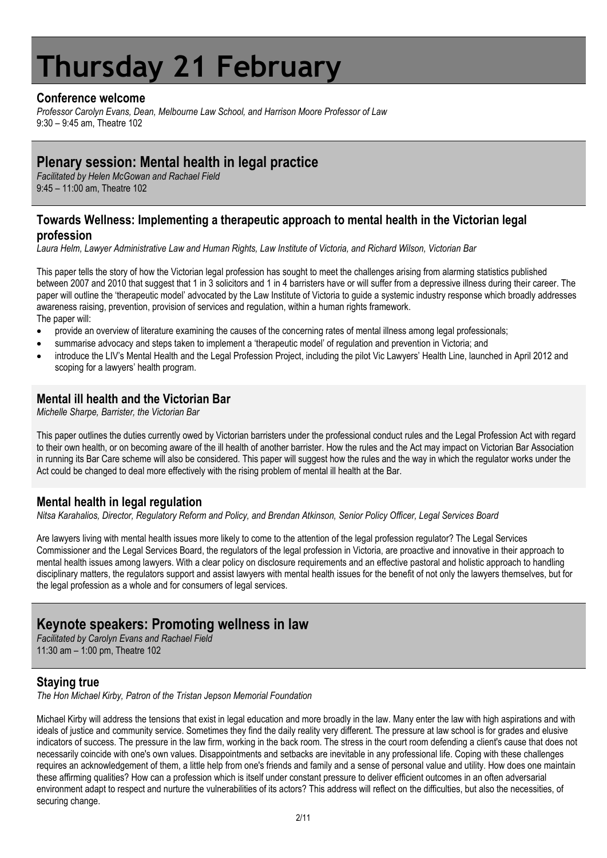# **Thursday 21 February**

## **Conference welcome**

*Professor Carolyn Evans, Dean, Melbourne Law School, and Harrison Moore Professor of Law* 9:30 – 9:45 am, Theatre 102

## **Plenary session: Mental health in legal practice**

*Facilitated by Helen McGowan and Rachael Field* 9:45 – 11:00 am, Theatre 102

## **Towards Wellness: Implementing a therapeutic approach to mental health in the Victorian legal profession**

*Laura Helm, Lawyer Administrative Law and Human Rights, Law Institute of Victoria, and Richard Wilson, Victorian Bar*

This paper tells the story of how the Victorian legal profession has sought to meet the challenges arising from alarming statistics published between 2007 and 2010 that suggest that 1 in 3 solicitors and 1 in 4 barristers have or will suffer from a depressive illness during their career. The paper will outline the 'therapeutic model' advocated by the Law Institute of Victoria to guide a systemic industry response which broadly addresses awareness raising, prevention, provision of services and regulation, within a human rights framework. The paper will:

- provide an overview of literature examining the causes of the concerning rates of mental illness among legal professionals;
- summarise advocacy and steps taken to implement a 'therapeutic model' of regulation and prevention in Victoria; and
- introduce the LIV's Mental Health and the Legal Profession Project, including the pilot Vic Lawyers' Health Line, launched in April 2012 and scoping for a lawyers' health program.

## **Mental ill health and the Victorian Bar**

*Michelle Sharpe, Barrister, the Victorian Bar*

This paper outlines the duties currently owed by Victorian barristers under the professional conduct rules and the Legal Profession Act with regard to their own health, or on becoming aware of the ill health of another barrister. How the rules and the Act may impact on Victorian Bar Association in running its Bar Care scheme will also be considered. This paper will suggest how the rules and the way in which the regulator works under the Act could be changed to deal more effectively with the rising problem of mental ill health at the Bar.

## **Mental health in legal regulation**

*Nitsa Karahalios, Director, Regulatory Reform and Policy, and Brendan Atkinson, Senior Policy Officer, Legal Services Board*

Are lawyers living with mental health issues more likely to come to the attention of the legal profession regulator? The Legal Services Commissioner and the Legal Services Board, the regulators of the legal profession in Victoria, are proactive and innovative in their approach to mental health issues among lawyers. With a clear policy on disclosure requirements and an effective pastoral and holistic approach to handling disciplinary matters, the regulators support and assist lawyers with mental health issues for the benefit of not only the lawyers themselves, but for the legal profession as a whole and for consumers of legal services.

## **Keynote speakers: Promoting wellness in law**

*Facilitated by Carolyn Evans and Rachael Field* 11:30 am – 1:00 pm, Theatre 102

## **Staying true**

*The Hon Michael Kirby, Patron of the Tristan Jepson Memorial Foundation*

Michael Kirby will address the tensions that exist in legal education and more broadly in the law. Many enter the law with high aspirations and with ideals of justice and community service. Sometimes they find the daily reality very different. The pressure at law school is for grades and elusive indicators of success. The pressure in the law firm, working in the back room. The stress in the court room defending a client's cause that does not necessarily coincide with one's own values. Disappointments and setbacks are inevitable in any professional life. Coping with these challenges requires an acknowledgement of them, a little help from one's friends and family and a sense of personal value and utility. How does one maintain these affirming qualities? How can a profession which is itself under constant pressure to deliver efficient outcomes in an often adversarial environment adapt to respect and nurture the vulnerabilities of its actors? This address will reflect on the difficulties, but also the necessities, of securing change.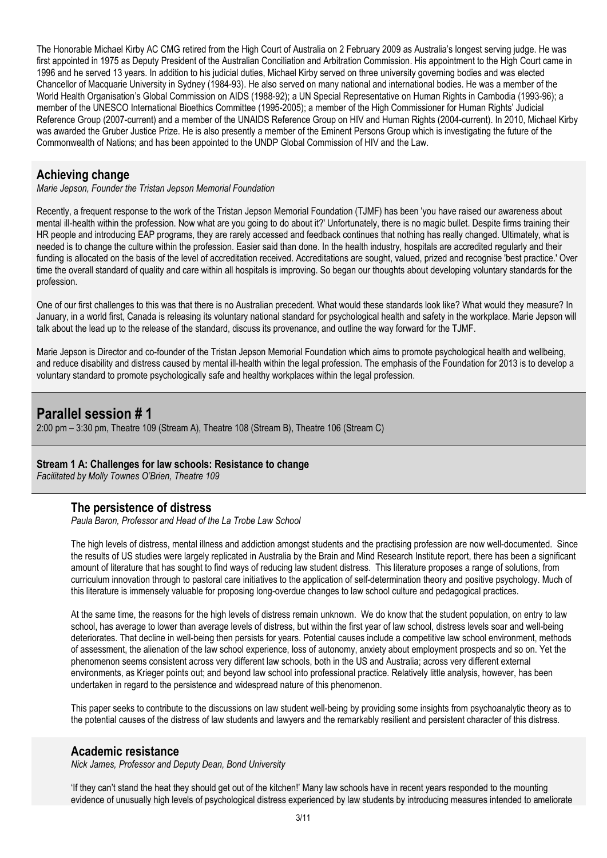The Honorable Michael Kirby AC CMG retired from the High Court of Australia on 2 February 2009 as Australia's longest serving judge. He was first appointed in 1975 as Deputy President of the Australian Conciliation and Arbitration Commission. His appointment to the High Court came in 1996 and he served 13 years. In addition to his judicial duties, Michael Kirby served on three university governing bodies and was elected Chancellor of Macquarie University in Sydney (1984-93). He also served on many national and international bodies. He was a member of the World Health Organisation's Global Commission on AIDS (1988-92); a UN Special Representative on Human Rights in Cambodia (1993-96); a member of the UNESCO International Bioethics Committee (1995-2005); a member of the High Commissioner for Human Rights' Judicial Reference Group (2007-current) and a member of the UNAIDS Reference Group on HIV and Human Rights (2004-current). In 2010, Michael Kirby was awarded the Gruber Justice Prize. He is also presently a member of the Eminent Persons Group which is investigating the future of the Commonwealth of Nations; and has been appointed to the UNDP Global Commission of HIV and the Law.

## **Achieving change**

*Marie Jepson, Founder the Tristan Jepson Memorial Foundation*

Recently, a frequent response to the work of the Tristan Jepson Memorial Foundation (TJMF) has been 'you have raised our awareness about mental ill-health within the profession. Now what are you going to do about it?' Unfortunately, there is no magic bullet. Despite firms training their HR people and introducing EAP programs, they are rarely accessed and feedback continues that nothing has really changed. Ultimately, what is needed is to change the culture within the profession. Easier said than done. In the health industry, hospitals are accredited regularly and their funding is allocated on the basis of the level of accreditation received. Accreditations are sought, valued, prized and recognise 'best practice.' Over time the overall standard of quality and care within all hospitals is improving. So began our thoughts about developing voluntary standards for the profession.

One of our first challenges to this was that there is no Australian precedent. What would these standards look like? What would they measure? In January, in a world first, Canada is releasing its voluntary national standard for psychological health and safety in the workplace. Marie Jepson will talk about the lead up to the release of the standard, discuss its provenance, and outline the way forward for the TJMF.

Marie Jepson is Director and co-founder of the Tristan Jepson Memorial Foundation which aims to promote psychological health and wellbeing, and reduce disability and distress caused by mental ill-health within the legal profession. The emphasis of the Foundation for 2013 is to develop a voluntary standard to promote psychologically safe and healthy workplaces within the legal profession.

## **Parallel session # 1**

2:00 pm – 3:30 pm, Theatre 109 (Stream A), Theatre 108 (Stream B), Theatre 106 (Stream C)

#### **Stream 1 A: Challenges for law schools: Resistance to change**

*Facilitated by Molly Townes O'Brien, Theatre 109*

## **The persistence of distress**

*Paula Baron, Professor and Head of the La Trobe Law School*

The high levels of distress, mental illness and addiction amongst students and the practising profession are now well-documented. Since the results of US studies were largely replicated in Australia by the Brain and Mind Research Institute report, there has been a significant amount of literature that has sought to find ways of reducing law student distress. This literature proposes a range of solutions, from curriculum innovation through to pastoral care initiatives to the application of self-determination theory and positive psychology. Much of this literature is immensely valuable for proposing long-overdue changes to law school culture and pedagogical practices.

At the same time, the reasons for the high levels of distress remain unknown. We do know that the student population, on entry to law school, has average to lower than average levels of distress, but within the first year of law school, distress levels soar and well-being deteriorates. That decline in well-being then persists for years. Potential causes include a competitive law school environment, methods of assessment, the alienation of the law school experience, loss of autonomy, anxiety about employment prospects and so on. Yet the phenomenon seems consistent across very different law schools, both in the US and Australia; across very different external environments, as Krieger points out; and beyond law school into professional practice. Relatively little analysis, however, has been undertaken in regard to the persistence and widespread nature of this phenomenon.

This paper seeks to contribute to the discussions on law student well-being by providing some insights from psychoanalytic theory as to the potential causes of the distress of law students and lawyers and the remarkably resilient and persistent character of this distress.

#### **Academic resistance**

*Nick James, Professor and Deputy Dean, Bond University*

'If they can't stand the heat they should get out of the kitchen!' Many law schools have in recent years responded to the mounting evidence of unusually high levels of psychological distress experienced by law students by introducing measures intended to ameliorate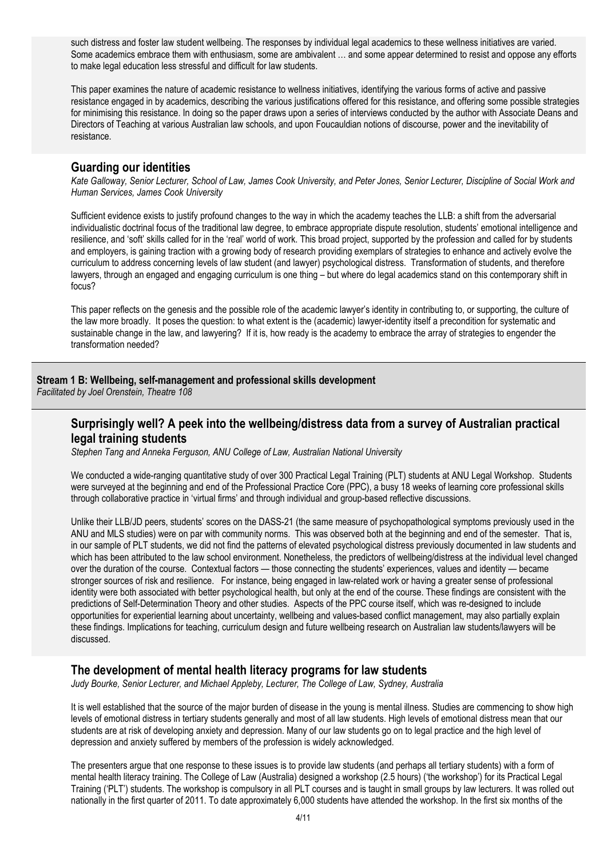such distress and foster law student wellbeing. The responses by individual legal academics to these wellness initiatives are varied. Some academics embrace them with enthusiasm, some are ambivalent … and some appear determined to resist and oppose any efforts to make legal education less stressful and difficult for law students.

This paper examines the nature of academic resistance to wellness initiatives, identifying the various forms of active and passive resistance engaged in by academics, describing the various justifications offered for this resistance, and offering some possible strategies for minimising this resistance. In doing so the paper draws upon a series of interviews conducted by the author with Associate Deans and Directors of Teaching at various Australian law schools, and upon Foucauldian notions of discourse, power and the inevitability of resistance.

#### **Guarding our identities**

*Kate Galloway, Senior Lecturer, School of Law, James Cook University, and Peter Jones, Senior Lecturer, Discipline of Social Work and Human Services, James Cook University*

Sufficient evidence exists to justify profound changes to the way in which the academy teaches the LLB: a shift from the adversarial individualistic doctrinal focus of the traditional law degree, to embrace appropriate dispute resolution, students' emotional intelligence and resilience, and 'soft' skills called for in the 'real' world of work. This broad project, supported by the profession and called for by students and employers, is gaining traction with a growing body of research providing exemplars of strategies to enhance and actively evolve the curriculum to address concerning levels of law student (and lawyer) psychological distress. Transformation of students, and therefore lawyers, through an engaged and engaging curriculum is one thing – but where do legal academics stand on this contemporary shift in focus?

This paper reflects on the genesis and the possible role of the academic lawyer's identity in contributing to, or supporting, the culture of the law more broadly. It poses the question: to what extent is the (academic) lawyer-identity itself a precondition for systematic and sustainable change in the law, and lawyering? If it is, how ready is the academy to embrace the array of strategies to engender the transformation needed?

#### **Stream 1 B: Wellbeing, self-management and professional skills development**

*Facilitated by Joel Orenstein, Theatre 108*

## **Surprisingly well? A peek into the wellbeing/distress data from a survey of Australian practical legal training students**

*Stephen Tang and Anneka Ferguson, ANU College of Law, Australian National University* 

We conducted a wide-ranging quantitative study of over 300 Practical Legal Training (PLT) students at ANU Legal Workshop. Students were surveyed at the beginning and end of the Professional Practice Core (PPC), a busy 18 weeks of learning core professional skills through collaborative practice in 'virtual firms' and through individual and group-based reflective discussions.

Unlike their LLB/JD peers, students' scores on the DASS-21 (the same measure of psychopathological symptoms previously used in the ANU and MLS studies) were on par with community norms. This was observed both at the beginning and end of the semester. That is, in our sample of PLT students, we did not find the patterns of elevated psychological distress previously documented in law students and which has been attributed to the law school environment. Nonetheless, the predictors of wellbeing/distress at the individual level changed over the duration of the course. Contextual factors — those connecting the students' experiences, values and identity — became stronger sources of risk and resilience. For instance, being engaged in law-related work or having a greater sense of professional identity were both associated with better psychological health, but only at the end of the course. These findings are consistent with the predictions of Self-Determination Theory and other studies. Aspects of the PPC course itself, which was re-designed to include opportunities for experiential learning about uncertainty, wellbeing and values-based conflict management, may also partially explain these findings. Implications for teaching, curriculum design and future wellbeing research on Australian law students/lawyers will be discussed.

## **The development of mental health literacy programs for law students**

*Judy Bourke, Senior Lecturer, and Michael Appleby, Lecturer, The College of Law, Sydney, Australia* 

It is well established that the source of the major burden of disease in the young is mental illness. Studies are commencing to show high levels of emotional distress in tertiary students generally and most of all law students. High levels of emotional distress mean that our students are at risk of developing anxiety and depression. Many of our law students go on to legal practice and the high level of depression and anxiety suffered by members of the profession is widely acknowledged.

The presenters argue that one response to these issues is to provide law students (and perhaps all tertiary students) with a form of mental health literacy training. The College of Law (Australia) designed a workshop (2.5 hours) ('the workshop') for its Practical Legal Training ('PLT') students. The workshop is compulsory in all PLT courses and is taught in small groups by law lecturers. It was rolled out nationally in the first quarter of 2011. To date approximately 6,000 students have attended the workshop. In the first six months of the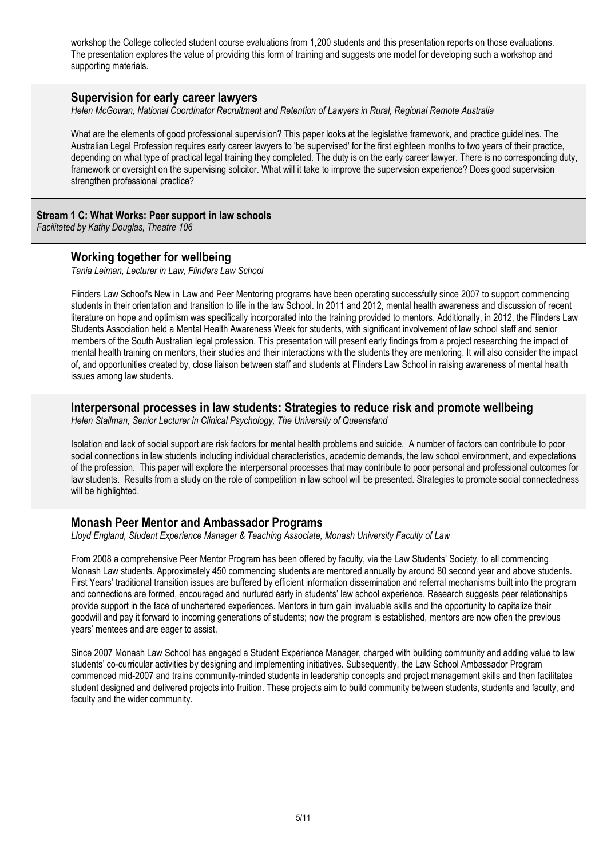workshop the College collected student course evaluations from 1,200 students and this presentation reports on those evaluations. The presentation explores the value of providing this form of training and suggests one model for developing such a workshop and supporting materials.

#### **Supervision for early career lawyers**

*Helen McGowan, National Coordinator Recruitment and Retention of Lawyers in Rural, Regional Remote Australia*

What are the elements of good professional supervision? This paper looks at the legislative framework, and practice guidelines. The Australian Legal Profession requires early career lawyers to 'be supervised' for the first eighteen months to two years of their practice, depending on what type of practical legal training they completed. The duty is on the early career lawyer. There is no corresponding duty, framework or oversight on the supervising solicitor. What will it take to improve the supervision experience? Does good supervision strengthen professional practice?

#### **Stream 1 C: What Works: Peer support in law schools**

*Facilitated by Kathy Douglas, Theatre 106*

### **Working together for wellbeing**

*Tania Leiman, Lecturer in Law, Flinders Law School*

Flinders Law School's New in Law and Peer Mentoring programs have been operating successfully since 2007 to support commencing students in their orientation and transition to life in the law School. In 2011 and 2012, mental health awareness and discussion of recent literature on hope and optimism was specifically incorporated into the training provided to mentors. Additionally, in 2012, the Flinders Law Students Association held a Mental Health Awareness Week for students, with significant involvement of law school staff and senior members of the South Australian legal profession. This presentation will present early findings from a project researching the impact of mental health training on mentors, their studies and their interactions with the students they are mentoring. It will also consider the impact of, and opportunities created by, close liaison between staff and students at Flinders Law School in raising awareness of mental health issues among law students.

#### **Interpersonal processes in law students: Strategies to reduce risk and promote wellbeing**

*Helen Stallman, Senior Lecturer in Clinical Psychology, The University of Queensland*

Isolation and lack of social support are risk factors for mental health problems and suicide. A number of factors can contribute to poor social connections in law students including individual characteristics, academic demands, the law school environment, and expectations of the profession. This paper will explore the interpersonal processes that may contribute to poor personal and professional outcomes for law students. Results from a study on the role of competition in law school will be presented. Strategies to promote social connectedness will be highlighted.

## **Monash Peer Mentor and Ambassador Programs**

*Lloyd England, Student Experience Manager & Teaching Associate, Monash University Faculty of Law*

From 2008 a comprehensive Peer Mentor Program has been offered by faculty, via the Law Students' Society, to all commencing Monash Law students. Approximately 450 commencing students are mentored annually by around 80 second year and above students. First Years' traditional transition issues are buffered by efficient information dissemination and referral mechanisms built into the program and connections are formed, encouraged and nurtured early in students' law school experience. Research suggests peer relationships provide support in the face of unchartered experiences. Mentors in turn gain invaluable skills and the opportunity to capitalize their goodwill and pay it forward to incoming generations of students; now the program is established, mentors are now often the previous years' mentees and are eager to assist.

Since 2007 Monash Law School has engaged a Student Experience Manager, charged with building community and adding value to law students' co-curricular activities by designing and implementing initiatives. Subsequently, the Law School Ambassador Program commenced mid-2007 and trains community-minded students in leadership concepts and project management skills and then facilitates student designed and delivered projects into fruition. These projects aim to build community between students, students and faculty, and faculty and the wider community.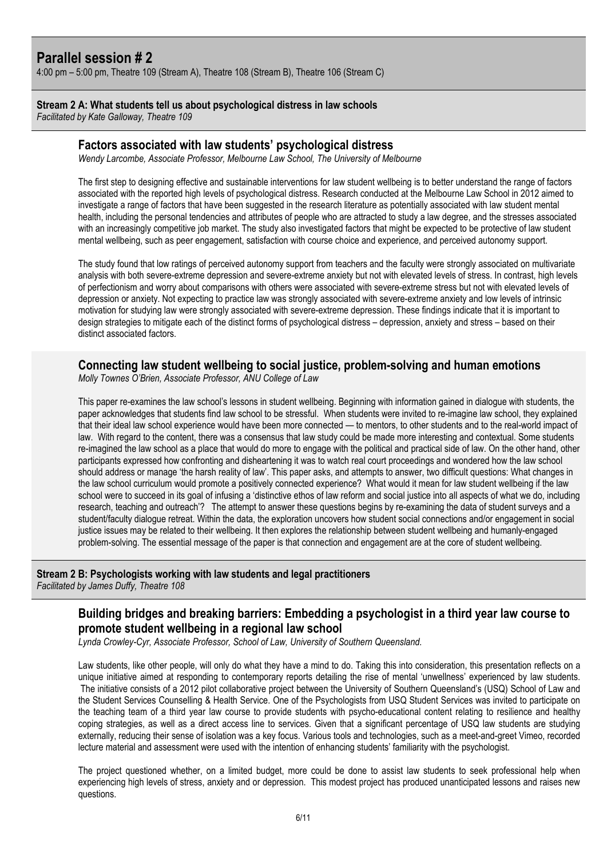## **Parallel session # 2**

4:00 pm – 5:00 pm, Theatre 109 (Stream A), Theatre 108 (Stream B), Theatre 106 (Stream C)

#### **Stream 2 A: What students tell us about psychological distress in law schools**

*Facilitated by Kate Galloway, Theatre 109*

#### **Factors associated with law students' psychological distress**

*Wendy Larcombe, Associate Professor, Melbourne Law School, The University of Melbourne*

The first step to designing effective and sustainable interventions for law student wellbeing is to better understand the range of factors associated with the reported high levels of psychological distress. Research conducted at the Melbourne Law School in 2012 aimed to investigate a range of factors that have been suggested in the research literature as potentially associated with law student mental health, including the personal tendencies and attributes of people who are attracted to study a law degree, and the stresses associated with an increasingly competitive job market. The study also investigated factors that might be expected to be protective of law student mental wellbeing, such as peer engagement, satisfaction with course choice and experience, and perceived autonomy support.

The study found that low ratings of perceived autonomy support from teachers and the faculty were strongly associated on multivariate analysis with both severe-extreme depression and severe-extreme anxiety but not with elevated levels of stress. In contrast, high levels of perfectionism and worry about comparisons with others were associated with severe-extreme stress but not with elevated levels of depression or anxiety. Not expecting to practice law was strongly associated with severe-extreme anxiety and low levels of intrinsic motivation for studying law were strongly associated with severe-extreme depression. These findings indicate that it is important to design strategies to mitigate each of the distinct forms of psychological distress – depression, anxiety and stress – based on their distinct associated factors.

## **Connecting law student wellbeing to social justice, problem-solving and human emotions**

*Molly Townes O'Brien, Associate Professor, ANU College of Law*

This paper re-examines the law school's lessons in student wellbeing. Beginning with information gained in dialogue with students, the paper acknowledges that students find law school to be stressful. When students were invited to re-imagine law school, they explained that their ideal law school experience would have been more connected — to mentors, to other students and to the real-world impact of law. With regard to the content, there was a consensus that law study could be made more interesting and contextual. Some students re-imagined the law school as a place that would do more to engage with the political and practical side of law. On the other hand, other participants expressed how confronting and disheartening it was to watch real court proceedings and wondered how the law school should address or manage 'the harsh reality of law'. This paper asks, and attempts to answer, two difficult questions: What changes in the law school curriculum would promote a positively connected experience? What would it mean for law student wellbeing if the law school were to succeed in its goal of infusing a 'distinctive ethos of law reform and social justice into all aspects of what we do, including research, teaching and outreach'? The attempt to answer these questions begins by re-examining the data of student surveys and a student/faculty dialogue retreat. Within the data, the exploration uncovers how student social connections and/or engagement in social justice issues may be related to their wellbeing. It then explores the relationship between student wellbeing and humanly-engaged problem-solving. The essential message of the paper is that connection and engagement are at the core of student wellbeing.

# **Stream 2 B: Psychologists working with law students and legal practitioners**

*Facilitated by James Duffy, Theatre 108*

## **Building bridges and breaking barriers: Embedding a psychologist in a third year law course to promote student wellbeing in a regional law school**

*Lynda Crowley-Cyr, Associate Professor, School of Law, University of Southern Queensland.*

Law students, like other people, will only do what they have a mind to do. Taking this into consideration, this presentation reflects on a unique initiative aimed at responding to contemporary reports detailing the rise of mental 'unwellness' experienced by law students. The initiative consists of a 2012 pilot collaborative project between the University of Southern Queensland's (USQ) School of Law and the Student Services Counselling & Health Service. One of the Psychologists from USQ Student Services was invited to participate on the teaching team of a third year law course to provide students with psycho-educational content relating to resilience and healthy coping strategies, as well as a direct access line to services. Given that a significant percentage of USQ law students are studying externally, reducing their sense of isolation was a key focus. Various tools and technologies, such as a meet-and-greet Vimeo, recorded lecture material and assessment were used with the intention of enhancing students' familiarity with the psychologist.

The project questioned whether, on a limited budget, more could be done to assist law students to seek professional help when experiencing high levels of stress, anxiety and or depression. This modest project has produced unanticipated lessons and raises new questions.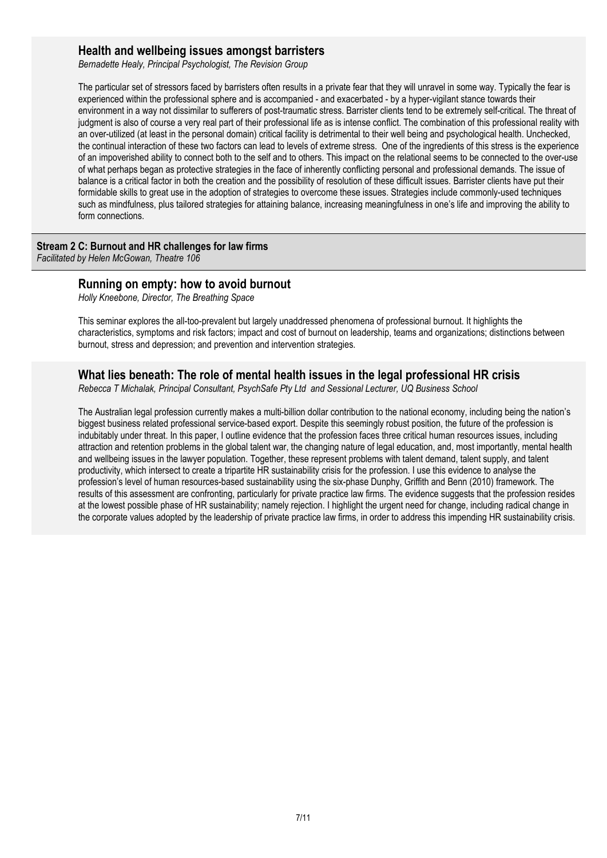#### **Health and wellbeing issues amongst barristers**

*Bernadette Healy, Principal Psychologist, The Revision Group*

The particular set of stressors faced by barristers often results in a private fear that they will unravel in some way. Typically the fear is experienced within the professional sphere and is accompanied - and exacerbated - by a hyper-vigilant stance towards their environment in a way not dissimilar to sufferers of post-traumatic stress. Barrister clients tend to be extremely self-critical. The threat of judgment is also of course a very real part of their professional life as is intense conflict. The combination of this professional reality with an over-utilized (at least in the personal domain) critical facility is detrimental to their well being and psychological health. Unchecked, the continual interaction of these two factors can lead to levels of extreme stress. One of the ingredients of this stress is the experience of an impoverished ability to connect both to the self and to others. This impact on the relational seems to be connected to the over-use of what perhaps began as protective strategies in the face of inherently conflicting personal and professional demands. The issue of balance is a critical factor in both the creation and the possibility of resolution of these difficult issues. Barrister clients have put their formidable skills to great use in the adoption of strategies to overcome these issues. Strategies include commonly-used techniques such as mindfulness, plus tailored strategies for attaining balance, increasing meaningfulness in one's life and improving the ability to form connections.

#### **Stream 2 C: Burnout and HR challenges for law firms**

*Facilitated by Helen McGowan, Theatre 106*

#### **Running on empty: how to avoid burnout**

*Holly Kneebone, Director, The Breathing Space*

This seminar explores the all-too-prevalent but largely unaddressed phenomena of professional burnout. It highlights the characteristics, symptoms and risk factors; impact and cost of burnout on leadership, teams and organizations; distinctions between burnout, stress and depression; and prevention and intervention strategies.

#### **What lies beneath: The role of mental health issues in the legal professional HR crisis**

*Rebecca T Michalak, Principal Consultant, PsychSafe Pty Ltd and Sessional Lecturer, UQ Business School* 

The Australian legal profession currently makes a multi-billion dollar contribution to the national economy, including being the nation's biggest business related professional service-based export. Despite this seemingly robust position, the future of the profession is indubitably under threat. In this paper, I outline evidence that the profession faces three critical human resources issues, including attraction and retention problems in the global talent war, the changing nature of legal education, and, most importantly, mental health and wellbeing issues in the lawyer population. Together, these represent problems with talent demand, talent supply, and talent productivity, which intersect to create a tripartite HR sustainability crisis for the profession. I use this evidence to analyse the profession's level of human resources-based sustainability using the six-phase Dunphy, Griffith and Benn (2010) framework. The results of this assessment are confronting, particularly for private practice law firms. The evidence suggests that the profession resides at the lowest possible phase of HR sustainability; namely rejection. I highlight the urgent need for change, including radical change in the corporate values adopted by the leadership of private practice law firms, in order to address this impending HR sustainability crisis.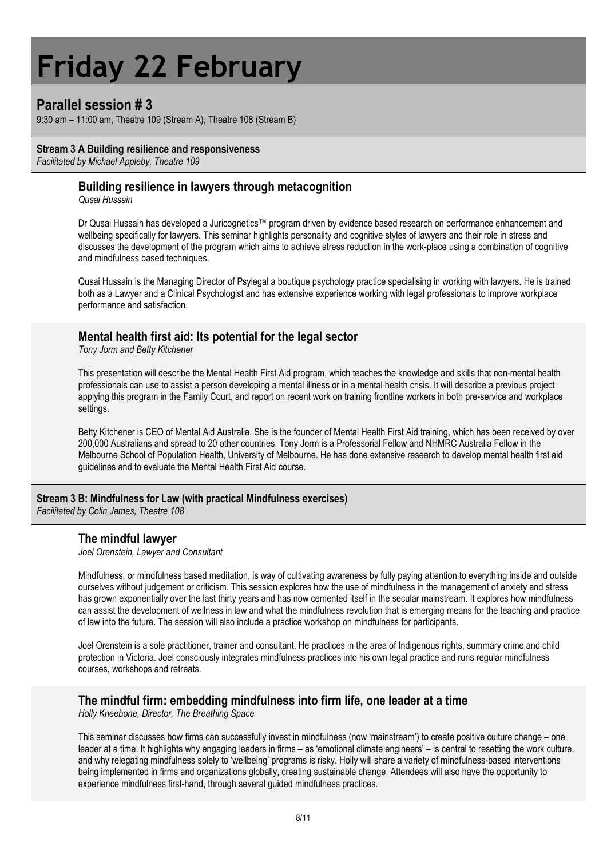# **Friday 22 February**

## **Parallel session # 3**

9:30 am – 11:00 am, Theatre 109 (Stream A), Theatre 108 (Stream B)

#### **Stream 3 A Building resilience and responsiveness**

*Facilitated by Michael Appleby, Theatre 109*

### **Building resilience in lawyers through metacognition**

*Qusai Hussain* 

Dr Qusai Hussain has developed a Juricognetics™ program driven by evidence based research on performance enhancement and wellbeing specifically for lawyers. This seminar highlights personality and cognitive styles of lawyers and their role in stress and discusses the development of the program which aims to achieve stress reduction in the work-place using a combination of cognitive and mindfulness based techniques.

Qusai Hussain is the Managing Director of Psylegal a boutique psychology practice specialising in working with lawyers. He is trained both as a Lawyer and a Clinical Psychologist and has extensive experience working with legal professionals to improve workplace performance and satisfaction.

### **Mental health first aid: Its potential for the legal sector**

*Tony Jorm and Betty Kitchener*

This presentation will describe the Mental Health First Aid program, which teaches the knowledge and skills that non-mental health professionals can use to assist a person developing a mental illness or in a mental health crisis. It will describe a previous project applying this program in the Family Court, and report on recent work on training frontline workers in both pre-service and workplace settings.

Betty Kitchener is CEO of Mental Aid Australia. She is the founder of Mental Health First Aid training, which has been received by over 200,000 Australians and spread to 20 other countries. Tony Jorm is a Professorial Fellow and NHMRC Australia Fellow in the Melbourne School of Population Health, University of Melbourne. He has done extensive research to develop mental health first aid guidelines and to evaluate the Mental Health First Aid course.

#### **Stream 3 B: Mindfulness for Law (with practical Mindfulness exercises)**

*Facilitated by Colin James, Theatre 108*

#### **The mindful lawyer**

*Joel Orenstein, Lawyer and Consultant*

Mindfulness, or mindfulness based meditation, is way of cultivating awareness by fully paying attention to everything inside and outside ourselves without judgement or criticism. This session explores how the use of mindfulness in the management of anxiety and stress has grown exponentially over the last thirty years and has now cemented itself in the secular mainstream. It explores how mindfulness can assist the development of wellness in law and what the mindfulness revolution that is emerging means for the teaching and practice of law into the future. The session will also include a practice workshop on mindfulness for participants.

Joel Orenstein is a sole practitioner, trainer and consultant. He practices in the area of Indigenous rights, summary crime and child protection in Victoria. Joel consciously integrates mindfulness practices into his own legal practice and runs regular mindfulness courses, workshops and retreats.

#### **The mindful firm: embedding mindfulness into firm life, one leader at a time**

*Holly Kneebone, Director, The Breathing Space*

This seminar discusses how firms can successfully invest in mindfulness (now 'mainstream') to create positive culture change – one leader at a time. It highlights why engaging leaders in firms – as 'emotional climate engineers' – is central to resetting the work culture, and why relegating mindfulness solely to 'wellbeing' programs is risky. Holly will share a variety of mindfulness-based interventions being implemented in firms and organizations globally, creating sustainable change. Attendees will also have the opportunity to experience mindfulness first-hand, through several guided mindfulness practices.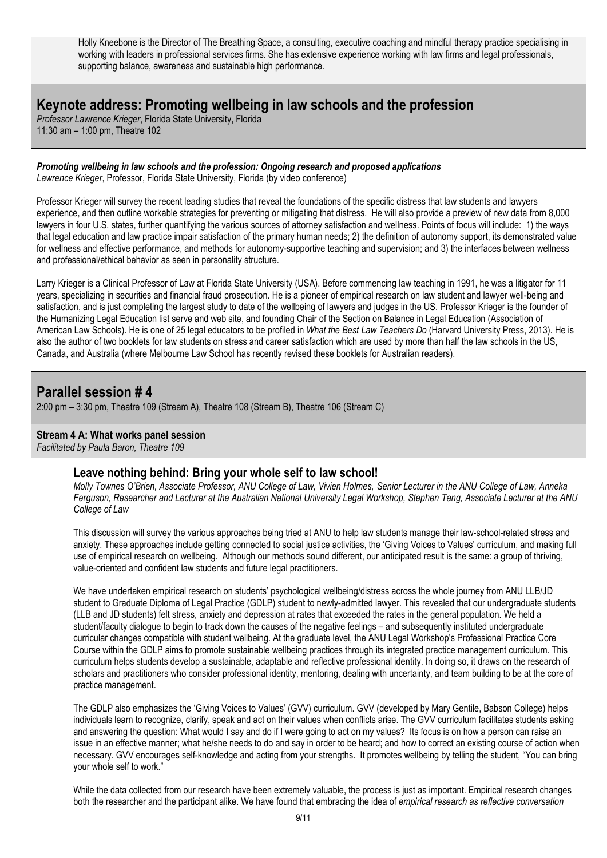Holly Kneebone is the Director of The Breathing Space, a consulting, executive coaching and mindful therapy practice specialising in working with leaders in professional services firms. She has extensive experience working with law firms and legal professionals, supporting balance, awareness and sustainable high performance.

## **Keynote address: Promoting wellbeing in law schools and the profession**

*Professor Lawrence Krieger*, Florida State University, Florida 11:30 am – 1:00 pm, Theatre 102

*Promoting wellbeing in law schools and the profession: Ongoing research and proposed applications Lawrence Krieger*, Professor, Florida State University, Florida (by video conference)

Professor Krieger will survey the recent leading studies that reveal the foundations of the specific distress that law students and lawyers experience, and then outline workable strategies for preventing or mitigating that distress. He will also provide a preview of new data from 8,000 lawyers in four U.S. states, further quantifying the various sources of attorney satisfaction and wellness. Points of focus will include: 1) the ways that legal education and law practice impair satisfaction of the primary human needs; 2) the definition of autonomy support, its demonstrated value for wellness and effective performance, and methods for autonomy-supportive teaching and supervision; and 3) the interfaces between wellness and professional/ethical behavior as seen in personality structure.

Larry Krieger is a Clinical Professor of Law at Florida State University (USA). Before commencing law teaching in 1991, he was a litigator for 11 years, specializing in securities and financial fraud prosecution. He is a pioneer of empirical research on law student and lawyer well-being and satisfaction, and is just completing the largest study to date of the wellbeing of lawyers and judges in the US. Professor Krieger is the founder of the Humanizing Legal Education list serve and web site, and founding Chair of the Section on Balance in Legal Education (Association of American Law Schools). He is one of 25 legal educators to be profiled in *What the Best Law Teachers Do* (Harvard University Press, 2013). He is also the author of two booklets for law students on stress and career satisfaction which are used by more than half the law schools in the US, Canada, and Australia (where Melbourne Law School has recently revised these booklets for Australian readers).

## **Parallel session # 4**

2:00 pm – 3:30 pm, Theatre 109 (Stream A), Theatre 108 (Stream B), Theatre 106 (Stream C)

#### **Stream 4 A: What works panel session**

*Facilitated by Paula Baron, Theatre 109*

## **Leave nothing behind: Bring your whole self to law school!**

*Molly Townes O'Brien, Associate Professor, ANU College of Law, Vivien Holmes, Senior Lecturer in the ANU College of Law, Anneka Ferguson, Researcher and Lecturer at the Australian National University Legal Workshop, Stephen Tang, Associate Lecturer at the ANU College of Law*

This discussion will survey the various approaches being tried at ANU to help law students manage their law-school-related stress and anxiety. These approaches include getting connected to social justice activities, the 'Giving Voices to Values' curriculum, and making full use of empirical research on wellbeing. Although our methods sound different, our anticipated result is the same: a group of thriving, value-oriented and confident law students and future legal practitioners.

We have undertaken empirical research on students' psychological wellbeing/distress across the whole journey from ANU LLB/JD student to Graduate Diploma of Legal Practice (GDLP) student to newly-admitted lawyer. This revealed that our undergraduate students (LLB and JD students) felt stress, anxiety and depression at rates that exceeded the rates in the general population. We held a student/faculty dialogue to begin to track down the causes of the negative feelings – and subsequently instituted undergraduate curricular changes compatible with student wellbeing. At the graduate level, the ANU Legal Workshop's Professional Practice Core Course within the GDLP aims to promote sustainable wellbeing practices through its integrated practice management curriculum. This curriculum helps students develop a sustainable, adaptable and reflective professional identity. In doing so, it draws on the research of scholars and practitioners who consider professional identity, mentoring, dealing with uncertainty, and team building to be at the core of practice management.

The GDLP also emphasizes the 'Giving Voices to Values' (GVV) curriculum. GVV (developed by Mary Gentile, Babson College) helps individuals learn to recognize, clarify, speak and act on their values when conflicts arise. The GVV curriculum facilitates students asking and answering the question: What would I say and do if I were going to act on my values? Its focus is on how a person can raise an issue in an effective manner; what he/she needs to do and say in order to be heard; and how to correct an existing course of action when necessary. GVV encourages self-knowledge and acting from your strengths. It promotes wellbeing by telling the student, "You can bring your whole self to work."

While the data collected from our research have been extremely valuable, the process is just as important. Empirical research changes both the researcher and the participant alike. We have found that embracing the idea of *empirical research as reflective conversation*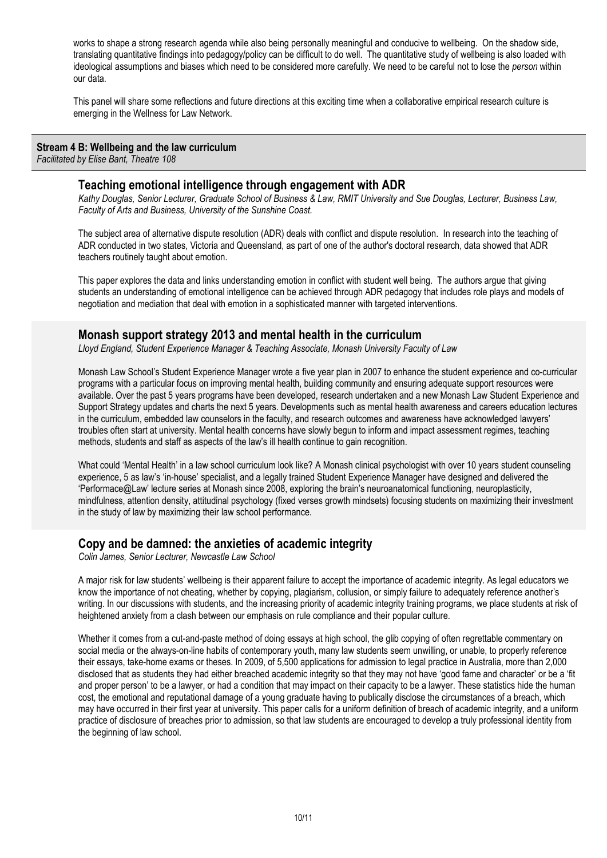works to shape a strong research agenda while also being personally meaningful and conducive to wellbeing. On the shadow side, translating quantitative findings into pedagogy/policy can be difficult to do well. The quantitative study of wellbeing is also loaded with ideological assumptions and biases which need to be considered more carefully. We need to be careful not to lose the *person* within our data.

This panel will share some reflections and future directions at this exciting time when a collaborative empirical research culture is emerging in the Wellness for Law Network.

#### **Stream 4 B: Wellbeing and the law curriculum**

*Facilitated by Elise Bant, Theatre 108*

#### **Teaching emotional intelligence through engagement with ADR**

*Kathy Douglas, Senior Lecturer, Graduate School of Business & Law, RMIT University and Sue Douglas, Lecturer, Business Law, Faculty of Arts and Business, University of the Sunshine Coast.*

The subject area of alternative dispute resolution (ADR) deals with conflict and dispute resolution. In research into the teaching of ADR conducted in two states, Victoria and Queensland, as part of one of the author's doctoral research, data showed that ADR teachers routinely taught about emotion.

This paper explores the data and links understanding emotion in conflict with student well being. The authors argue that giving students an understanding of emotional intelligence can be achieved through ADR pedagogy that includes role plays and models of negotiation and mediation that deal with emotion in a sophisticated manner with targeted interventions.

## **Monash support strategy 2013 and mental health in the curriculum**

*Lloyd England, Student Experience Manager & Teaching Associate, Monash University Faculty of Law*

Monash Law School's Student Experience Manager wrote a five year plan in 2007 to enhance the student experience and co-curricular programs with a particular focus on improving mental health, building community and ensuring adequate support resources were available. Over the past 5 years programs have been developed, research undertaken and a new Monash Law Student Experience and Support Strategy updates and charts the next 5 years. Developments such as mental health awareness and careers education lectures in the curriculum, embedded law counselors in the faculty, and research outcomes and awareness have acknowledged lawyers' troubles often start at university. Mental health concerns have slowly begun to inform and impact assessment regimes, teaching methods, students and staff as aspects of the law's ill health continue to gain recognition.

What could 'Mental Health' in a law school curriculum look like? A Monash clinical psychologist with over 10 years student counseling experience, 5 as law's 'in-house' specialist, and a legally trained Student Experience Manager have designed and delivered the 'Performace@Law' lecture series at Monash since 2008, exploring the brain's neuroanatomical functioning, neuroplasticity, mindfulness, attention density, attitudinal psychology (fixed verses growth mindsets) focusing students on maximizing their investment in the study of law by maximizing their law school performance.

## **Copy and be damned: the anxieties of academic integrity**

*Colin James, Senior Lecturer, Newcastle Law School*

A major risk for law students' wellbeing is their apparent failure to accept the importance of academic integrity. As legal educators we know the importance of not cheating, whether by copying, plagiarism, collusion, or simply failure to adequately reference another's writing. In our discussions with students, and the increasing priority of academic integrity training programs, we place students at risk of heightened anxiety from a clash between our emphasis on rule compliance and their popular culture.

Whether it comes from a cut-and-paste method of doing essays at high school, the glib copying of often regrettable commentary on social media or the always-on-line habits of contemporary youth, many law students seem unwilling, or unable, to properly reference their essays, take-home exams or theses. In 2009, of 5,500 applications for admission to legal practice in Australia, more than 2,000 disclosed that as students they had either breached academic integrity so that they may not have 'good fame and character' or be a 'fit and proper person' to be a lawyer, or had a condition that may impact on their capacity to be a lawyer. These statistics hide the human cost, the emotional and reputational damage of a young graduate having to publically disclose the circumstances of a breach, which may have occurred in their first year at university. This paper calls for a uniform definition of breach of academic integrity, and a uniform practice of disclosure of breaches prior to admission, so that law students are encouraged to develop a truly professional identity from the beginning of law school.